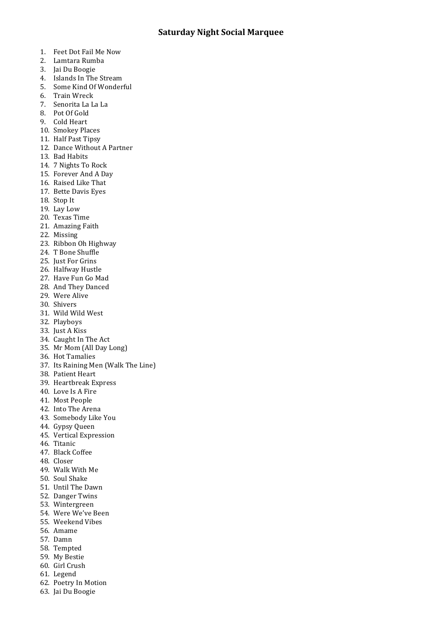- 1. Feet Dot Fail Me Now
- 2. Lamtara Rumba
- 3. Jai Du Boogie
- 4. Islands In The Stream
- 5. Some Kind Of Wonderful
- 6. Train Wreck
- 7. Senorita La La La
- 8. Pot Of Gold
- 9. Cold Heart
- 10. Smokey Places
- 11. Half Past Tipsy
- 12. Dance Without A Partner
- 13. Bad Habits
- 14. 7 Nights To Rock
- 15. Forever And A Day
- 16. Raised Like That
- 17. Bette Davis Eyes
- 18. Stop It
- 19. Lay Low
- 20. Texas Time
- 21. Amazing Faith
- 22. Missing
- 23. Ribbon Oh Highway
- 24. T Bone Shuffle
- 25. Just For Grins
- 26. Halfway Hustle
- 27. Have Fun Go Mad
- 28. And They Danced
- 29. Were Alive
- 30. Shivers
- 31. Wild Wild West
- 32. Playboys
- 33. Just A Kiss
- 34. Caught In The Act
- 35. Mr Mom (All Day Long)
- 36. Hot Tamalies
- 37. Its Raining Men (Walk The Line)
- 38. Patient Heart
- 39. Heartbreak Express
- 40. Love Is A Fire
- 41. Most People
- 42. Into The Arena
- 43. Somebody Like You
- 44. Gypsy Queen
- 45. Vertical Expression
- 46. Titanic
- 47. Black Coffee
- 48. Closer
- 49. Walk With Me
- 50. Soul Shake
- 51. Until The Dawn
- 52. Danger Twins
- 53. Wintergreen
- 54. Were We've Been
- 55. Weekend Vibes
- 56. Amame
- 57. Damn
- 58. Tempted
- 59. My Bestie
- 60. Girl Crush
- 61. Legend
- 62. Poetry In Motion
- 63. Jai Du Boogie